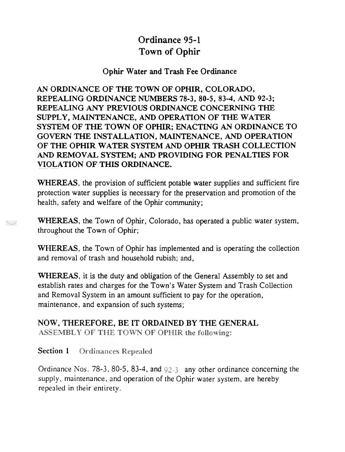# Ordinance 95-1 Town of Ophir

#### Ophir Water and Trash Fee Ordinance

AN ORDINANCE OF THE TOWN OF OPHIR, COLORADO, REPEALING ORDINANCE NUMBERS 78-3, 80-5, 83-4, AND 92-3; REPEALING ANY PREVIOUS ORDINANCE CONCERNING THE SUPPLY, MAINTENANCE, AND OPERATION OF THE WATER SYSTEM OF THE TOWN OF OPHIR; ENACTING AN ORDINANCE TO GOVERN THE INSTALLATION, MAINTENANCE, AND OPERATION OF THE OPHIR WATER SYSTEM AND OPHIR TRASH COLLECTION AND REMOVAL SYSTEM; AND PROVIDING FOR PENALTIES FOR VIOLATION OF THIS ORDINANCE.

WHEREAS, the provision of sufficient potable water supplies and sufficient fire protection water supplies is necessary for the preservation and promotion of the health, safety and welfare of the Ophir community;

WHEREAS, the Town of Ophir, Colorado, has operated a public water system, throughout the Town of Ophir;

WHEREAS, the Town of Ophir has implemented and is operating the collection and removal of trash and household rubish; and,

WHEREAS, it is the duty and obligation of the General Assembly to set and establish rates and charges for the Town's Water System and Trash Collection and Removal System in an amount sufficient to pay for the operation, maintenance. and expansion of such systems;

#### NOW, THEREFORE, BE IT ORDAINED BY THE GENERAL ASSEMBLY OF THE TOWN OF OPHIR the following:

#### Section 1 Ordinances Repealed

Ordinance Nos.  $78-3$ ,  $80-5$ ,  $83-4$ , and  $92-3$  any other ordinance concerning the supply, maintenance, and operation of the Ophir water system, are hereby repealed in their entirety.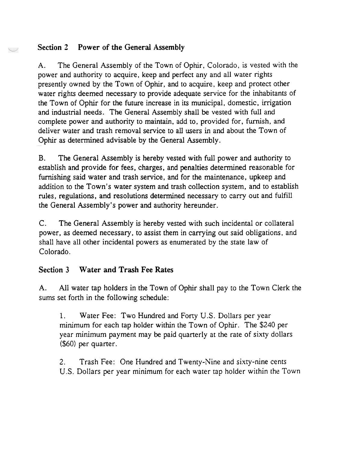### Section 2 Power of the General Assembly

A. The General Assembly of the Town of Ophir, Colorado, is vested with the power and authority to acquire, keep and perfect any and all water rights presently owned by the Town of Ophir. and to acquire, keep and protect other water rights deemed necessary to provide adequate service for the inhabitants of the Town of Ophir for the future increase in its municipal, domestic, irrigation and industrial needs. The General Assembly shall be vested with full and complete power and authority to maintain, add to, provided for, furnish, and deliver water and trash removal service to all users in and about the Town of Ophir as determined advisable by the General Assembly.

B. The General Assembly is hereby vested with full power and authority to establish and provide for fees, charges, and penalties determined reasonable for furnishing said water and trash service. and for the maintenance, upkeep and addition to the Town's water system and trash collection system, and to establish rules, regulations, and resolutions determined necessary to carry out and fulfill the General Assembly's power and authority hereunder.

C. The General Assembly is hereby vested with such incidental or collateral power, as deemed necessary, to assist them in carrying out said obligations, and shall have all other incidental powers as enumerated by the state law of Colorado.

# Section 3 Water and Trash Fee Rates

A. All water tap holders in the Town of Ophir shall pay to the Town Clerk the sums set forth in the following schedule:

1. Water Fee: Two Hundred and Forty U.S. Dollars per year minimum for each tap holder within the Town of Ophir. The \$240 per year minimum payment may be paid quarterly at the rate of sixty dollars (\$60) per quarter.

2. Trash Fee: One Hundred and Twenty-Nine and sixty-nine cents U.S. Dollars per year minimum for each water tap holder within the Town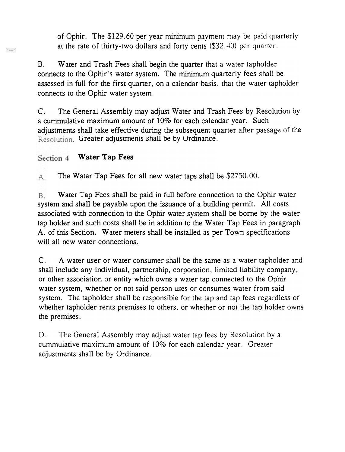of Ophir. The \$129.60 per year minimum payment may be paid quarterly at the rate of thirty-tWo dollars and forty cents (\$32.40) per quarter.

B. Water and Trash Fees shall begin the quarter that a water tapholder connects to the Ophir's water system. The minimum quarterly fees shall be assessed in full for the first quarter. on a calendar basis. that the water tapholder connects to the Ophir water system.

C. The General Assembly may adjust Water and Trash Fees by Resolution by a cummulative maximum amount of 10% for each calendar year. Such adjustments shall take effective during the subsequent quarter after passage of the Resolution. Greater adjustments shall be by Ordinance.

#### Section 4 Water Tap Fees

A. The Water Tap Fees for all new water taps shall be \$2750.00.

B. Water Tap Fees shall be paid in full before connection to the Ophir water system and shall be payable upon the issuance of a building permit. All costs associated with connection to the Ophir water system shall be borne by the water tap holder and such costs shall be in addition to the Water Tap Fees in paragraph A. of this Section. Water meters shall be installed as per Town specifications will all new water connections.

C. A water user or water consumer shall be the same as a water tapholder and shall include any individual. partnership, corporation, limited liability company, or other association or entity which owns a water tap connected to the Ophir water system, whether or not said person uses or consumes water from said system. The tapholder shall be responsible for the tap and tap fees regardless of whether tapholder rents premises to others, or whether or not the tap holder owns the premises.

D. The General Assembly may adjust water tap fees by Resolution by a cummulative maximum amount of 10% for each calendar year. Greater adjustments shall be by Ordinance.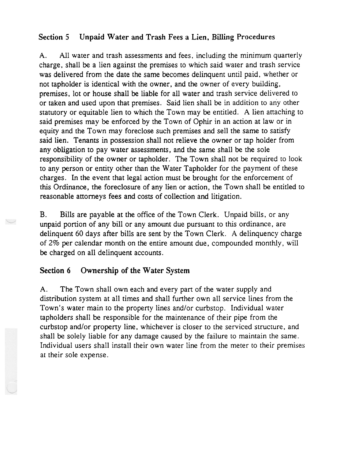### Section 5 Unpaid Water and Trash Fees a Lien, Billing Procedures

A. All water and trash assessments and fees. including the minimum quarterly charge. shall be a lien against the premises to which said water and trash service was delivered from the date the same becomes delinquent until paid, whether or not tapholder is identical with the owner, and the owner of every building, premises, lot or house shall be liable for all water and trash service delivered to or taken and used upon that premises. Said lien shall be in addition to any other statutory or equitable lien to which the Town may be entitled. A lien attaching to said premises may be enforced by the Town of Ophir in an action at law or in equity and the Town may foreclose such premises and sell the same to satisfy said lien. Tenants in possession shall not relieve the owner or tap holder from any obligation to pay water assessments, and the same shall be the sole responsibility of the owner or tapholder. The Town shall not be required to look to any person or entity other than the Water Tapholder for the payment of these charges. In the event that legal action must be brought for the enforcement of this Ordinance, the foreclosure of any lien or action, the Town shall be entitled to reasonable attorneys fees and costs of collection and litigation.

B. Bills are payable at the office of the Town Clerk. Unpaid bills, or any unpaid portion of any bill or any amount due pursuant to this ordinance, are delinquent 60 days after bills are sent by the Town Clerk. A delinquency charge of 2% per calendar month on the entire amount due. compounded monthly. will be charged on all delinquent accounts.

#### Section 6 Ownership of the Water System

'-"

A. The Town shall own each and every part of the water supply and distribution system at all times and shall further own all service lines from the Town's water main to the property lines and/or curbstop. Individual water tapholders shall be responsible for the maintenance of their pipe from the curbstop and/or property line, whichever is closer to the serviced structure, and shall be solely liable for any damage caused by the failure to maintain the same. Individual users shall install their own water line from the meter to their premises at their sole expense.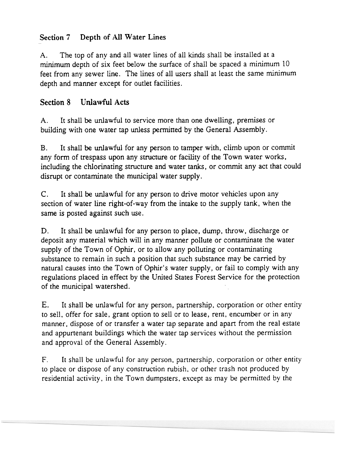# Section 7 Depth of All Water Lines

A. The top of any and all water lines of all kinds shall be installed at a minimum depth of six feet below the surface of shall be spaced a minimum 10 feet from any sewer line. The lines of all users shall at least the same minimum depth and manner except for outlet facilities.

# Section 8 Unlawful Acts

A. It shall be unlawful to service more than one dwelling, premises or building with one water tap unless permitted by the General Assembly.

B. It shall be unlawful for any person to tamper with, climb upon or commit any form of trespass upon any structure or facility of the Town water works, including the chlorinating structure and water tanks, or commit any act that could disrupt or contaminate the municipal water supply.

C. It shall be unlawful for any person to drive motor vehicles upon any section of water line right-of-way from the intake to the supply tank. when the same is posted against such use.

D. It shall be unlawful for any person to place, dump. throw, discharge or deposit any material which will in any manner pollute or contaminate the water supply of the Town of Ophir, or to allow any polluting or contaminating substance to remain in such a position that such substance may be carried by natural causes into the Town of Ophir's water supply, or fail to comply with any regulations placed in effect by the United States Forest Service for the protection of the municipal watershed.

E. E. It shall be unlawful for any person, partnership, corporation or other entity to sell, offer for sale, grant option to sell or to lease, rent, encumber or in any manner, dispose of or transfer a water tap separate and apart from the real estate and appurtenant buildings which the water tap services without the permission and approval of the General Assembly.

F. It shall be unlawful for any person, partnership, corporation or other entity to place or dispose of any construction rubish. or other trash not produced by residential activity, in the Town dumpsters. except as may be permitted by the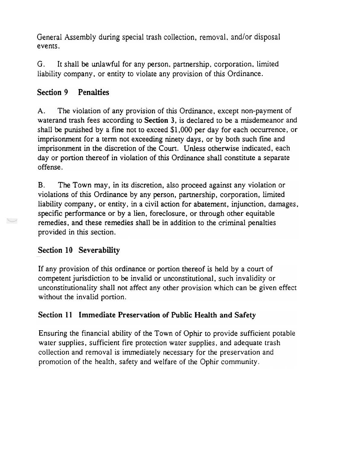General Assembly during special trash collection, removal, and/or disposal events.

G. It shall be unlawful for any person, partnership, corporation. limited liability company, or entity to violate any provision of this Ordinance.

# Section 9 Penalties

A. The violation of any provision of this Ordinance, except non-payment of waterand trash fees according to Section 3, is declared to be a misdemeanor and shall be punished by a fine not to exceed \$1.000 per day for each occurrence, or imprisonment for a term not exceeding ninety days, or by both such fine and imprisonment in the discretion of the Court. Unless otherwise indicated, each day or portion thereof in violation of this Ordinance shall constitute a separate offense.

B. The Town may, in its discretion, also proceed against any violation or violations of this Ordinance by any person, partnership, corporation, limited liability company, or entity, in a civil action for abatement, injunction. damages, specific performance or by a lien, foreclosure, or through other equitable remedies. and these remedies shall be in addition to the criminal penalties provided in this section.

# Section 10 Severability

If any provision of this ordinance or portion thereof is held by a court of competent jurisdiction to be invalid or unconstitutional, such invalidity or unconstitutionality shall not affect any other provision which can be given effect without the invalid portion.

# Section 11 Immediate Preservation of Public Health and Safety

Ensuring the financial ability of the Town of Ophir to provide sufficient potable water supplies, sufficient fire protection water supplies, and adequate trash collection and removal is immediately necessary for the preservation and promotion of the health, safety and welfare of the Ophir community.